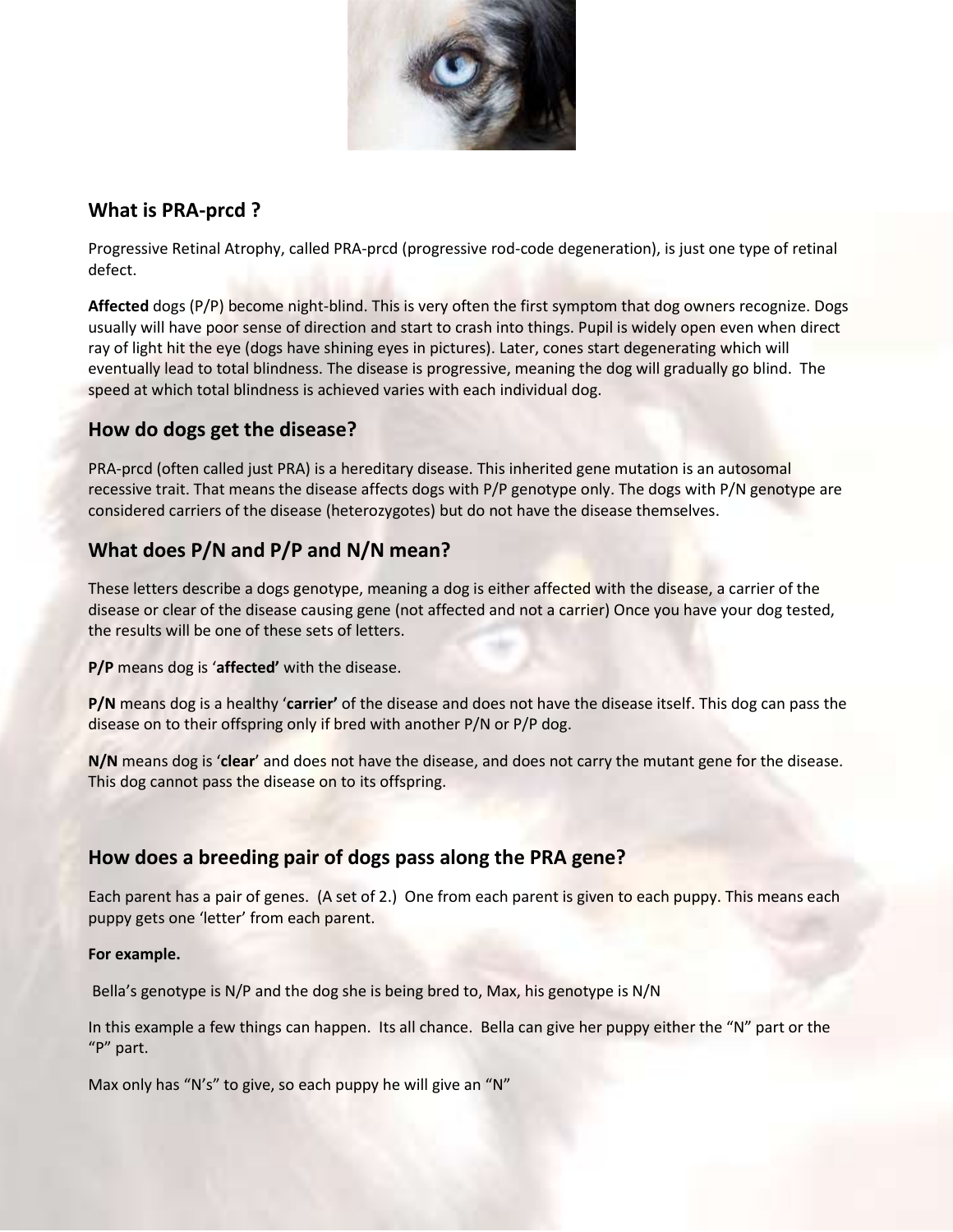

### **What is PRA-prcd ?**

Progressive Retinal Atrophy, called PRA-prcd (progressive rod-code degeneration), is just one type of retinal defect.

**Affected** dogs (P/P) become night-blind. This is very often the first symptom that dog owners recognize. Dogs usually will have poor sense of direction and start to crash into things. Pupil is widely open even when direct ray of light hit the eye (dogs have shining eyes in pictures). Later, cones start degenerating which will eventually lead to total blindness. The disease is progressive, meaning the dog will gradually go blind. The speed at which total blindness is achieved varies with each individual dog.

## **How do dogs get the disease?**

PRA-prcd (often called just PRA) is a hereditary disease. This inherited gene mutation is an autosomal recessive trait. That means the disease affects dogs with P/P genotype only. The dogs with P/N genotype are considered carriers of the disease (heterozygotes) but do not have the disease themselves.

# **What does P/N and P/P and N/N mean?**

These letters describe a dogs genotype, meaning a dog is either affected with the disease, a carrier of the disease or clear of the disease causing gene (not affected and not a carrier) Once you have your dog tested, the results will be one of these sets of letters.

**P/P** means dog is '**affected'** with the disease.

**P/N** means dog is a healthy '**carrier'** of the disease and does not have the disease itself. This dog can pass the disease on to their offspring only if bred with another P/N or P/P dog.

**N/N** means dog is '**clear**' and does not have the disease, and does not carry the mutant gene for the disease. This dog cannot pass the disease on to its offspring.

# **How does a breeding pair of dogs pass along the PRA gene?**

Each parent has a pair of genes. (A set of 2.) One from each parent is given to each puppy. This means each puppy gets one 'letter' from each parent.

#### **For example.**

Bella's genotype is N/P and the dog she is being bred to, Max, his genotype is N/N

In this example a few things can happen. Its all chance. Bella can give her puppy either the "N" part or the "P" part.

Max only has "N's" to give, so each puppy he will give an "N"